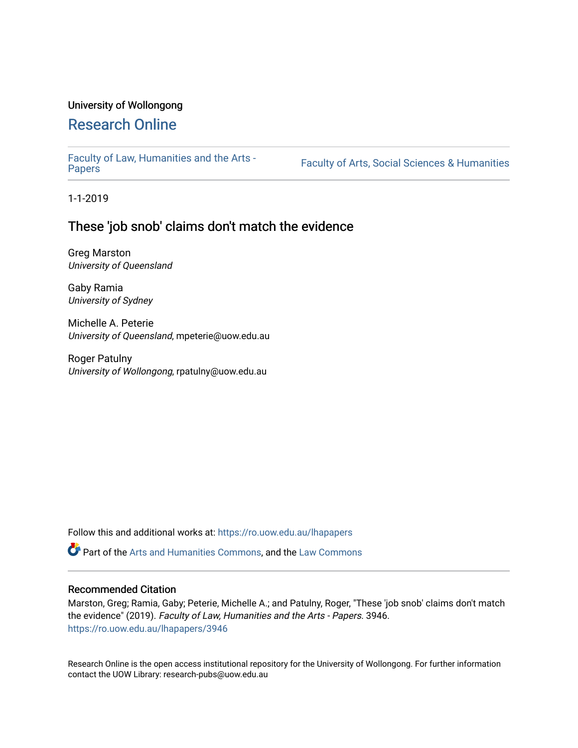### University of Wollongong

# [Research Online](https://ro.uow.edu.au/)

[Faculty of Law, Humanities and the Arts -](https://ro.uow.edu.au/lhapapers)

Faculty of Arts, Social Sciences & Humanities

1-1-2019

## These 'job snob' claims don't match the evidence

Greg Marston University of Queensland

Gaby Ramia University of Sydney

Michelle A. Peterie University of Queensland, mpeterie@uow.edu.au

Roger Patulny University of Wollongong, rpatulny@uow.edu.au

Follow this and additional works at: [https://ro.uow.edu.au/lhapapers](https://ro.uow.edu.au/lhapapers?utm_source=ro.uow.edu.au%2Flhapapers%2F3946&utm_medium=PDF&utm_campaign=PDFCoverPages) 

Part of the [Arts and Humanities Commons,](http://network.bepress.com/hgg/discipline/438?utm_source=ro.uow.edu.au%2Flhapapers%2F3946&utm_medium=PDF&utm_campaign=PDFCoverPages) and the [Law Commons](http://network.bepress.com/hgg/discipline/578?utm_source=ro.uow.edu.au%2Flhapapers%2F3946&utm_medium=PDF&utm_campaign=PDFCoverPages) 

### Recommended Citation

Marston, Greg; Ramia, Gaby; Peterie, Michelle A.; and Patulny, Roger, "These 'job snob' claims don't match the evidence" (2019). Faculty of Law, Humanities and the Arts - Papers. 3946. [https://ro.uow.edu.au/lhapapers/3946](https://ro.uow.edu.au/lhapapers/3946?utm_source=ro.uow.edu.au%2Flhapapers%2F3946&utm_medium=PDF&utm_campaign=PDFCoverPages)

Research Online is the open access institutional repository for the University of Wollongong. For further information contact the UOW Library: research-pubs@uow.edu.au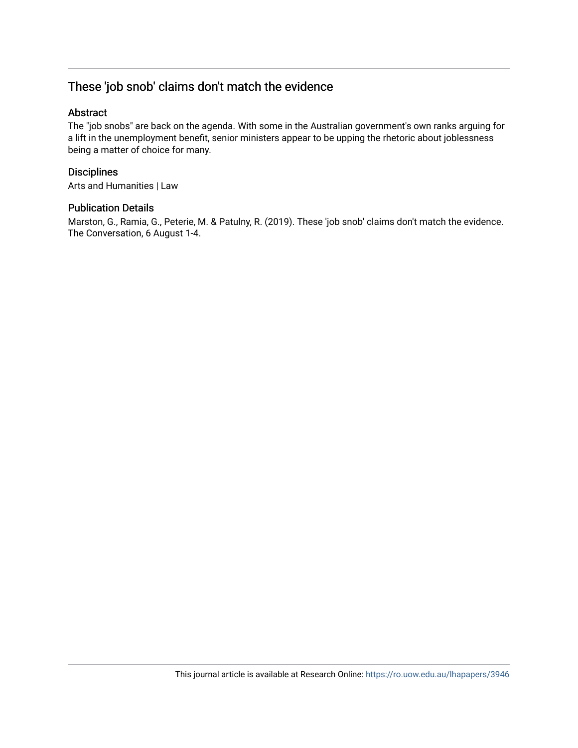# These 'job snob' claims don't match the evidence

### Abstract

The "job snobs" are back on the agenda. With some in the Australian government's own ranks arguing for a lift in the unemployment benefit, senior ministers appear to be upping the rhetoric about joblessness being a matter of choice for many.

### **Disciplines**

Arts and Humanities | Law

### Publication Details

Marston, G., Ramia, G., Peterie, M. & Patulny, R. (2019). These 'job snob' claims don't match the evidence. The Conversation, 6 August 1-4.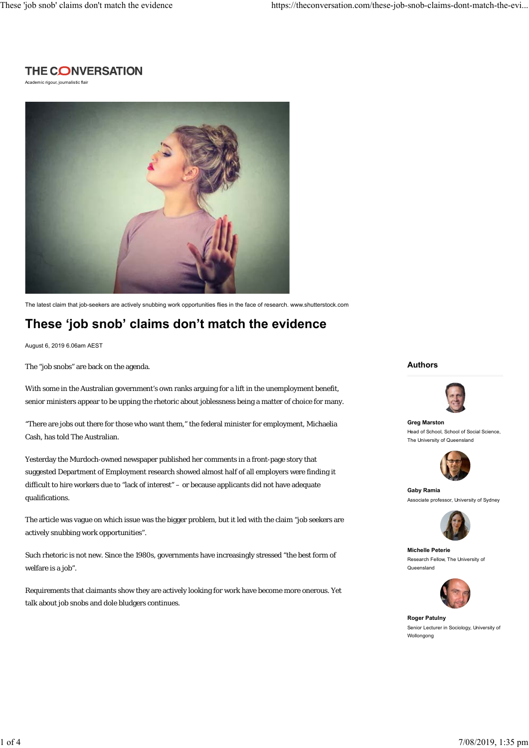## **THE CONVERSATION**

Academic rigour, journalistic flair



The latest claim that job-seekers are actively snubbing work opportunities flies in the face of research. www.shutterstock.com

# **These 'job snob' claims don't match the evidence**

August 6, 2019 6.06am AEST

The "job snobs" are back on the agenda.

With some in the Australian government's own ranks arguing for a lift in the unemployment benefit, senior ministers appear to be upping the rhetoric about joblessness being a matter of choice for many.

"There are jobs out there for those who want them," the federal minister for employment, Michaelia Cash, has told The Australian.

Yesterday the Murdoch-owned newspaper published her comments in a front-page story that suggested Department of Employment research showed almost half of all employers were finding it difficult to hire workers due to "lack of interest" – or because applicants did not have adequate qualifications.

The article was vague on which issue was the bigger problem, but it led with the claim "job seekers are actively snubbing work opportunities".

Such rhetoric is not new. Since the 1980s, governments have increasingly stressed "the best form of welfare is a job".

Requirements that claimants show they are actively looking for work have become more onerous. Yet talk about job snobs and dole bludgers continues.

#### **Authors**



**Greg Marston** Head of School, School of Social Science, The University of Queensland



**Gaby Ramia** Associate professor, University of Sydney



**Michelle Peterie** Research Fellow, The University of Queensland



**Roger Patulny** Senior Lecturer in Sociology, University of Wollongong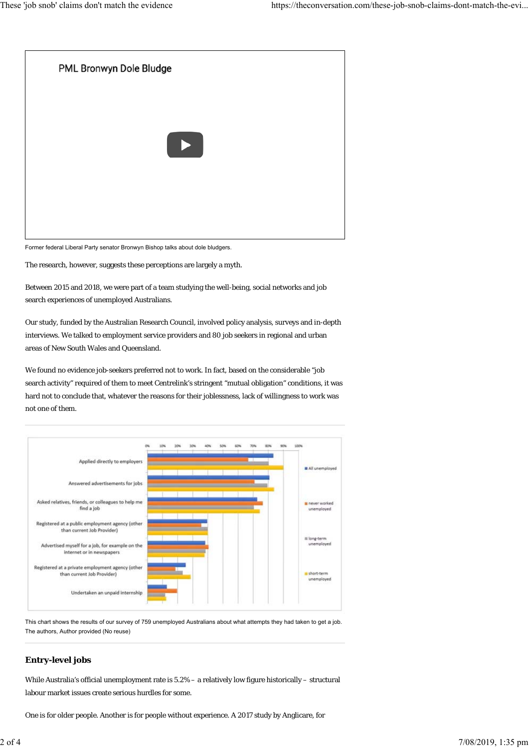

Former federal Liberal Party senator Bronwyn Bishop talks about dole bludgers.

The research, however, suggests these perceptions are largely a myth.

Between 2015 and 2018, we were part of a team studying the well-being, social networks and job search experiences of unemployed Australians.

Our study, funded by the Australian Research Council, involved policy analysis, surveys and in-depth interviews. We talked to employment service providers and 80 job seekers in regional and urban areas of New South Wales and Queensland.

We found no evidence job-seekers preferred not to work. In fact, based on the considerable "job search activity" required of them to meet Centrelink's stringent "mutual obligation" conditions, it was hard not to conclude that, whatever the reasons for their joblessness, lack of willingness to work was not one of them.



This chart shows the results of our survey of 759 unemployed Australians about what attempts they had taken to get a job. The authors, Author provided (No reuse)

### **Entry-level jobs**

While Australia's official unemployment rate is 5.2% – a relatively low figure historically – structural labour market issues create serious hurdles for some.

One is for older people. Another is for people without experience. A 2017 study by Anglicare, for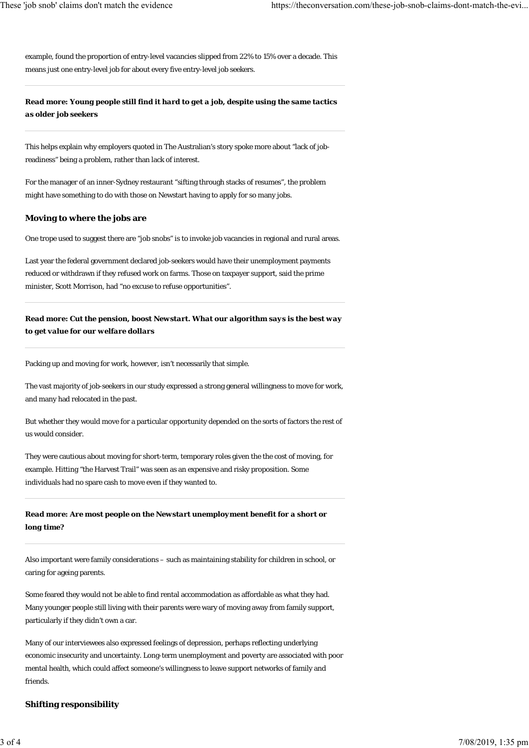example, found the proportion of entry-level vacancies slipped from 22% to 15% over a decade. This means just one entry-level job for about every five entry-level job seekers.

### *Read more: Young people still find it hard to get a job, despite using the same tactics as older job seekers*

This helps explain why employers quoted in The Australian's story spoke more about "lack of jobreadiness" being a problem, rather than lack of interest.

For the manager of an inner-Sydney restaurant "sifting through stacks of resumes", the problem might have something to do with those on Newstart having to apply for so many jobs.

#### **Moving to where the jobs are**

One trope used to suggest there are "job snobs" is to invoke job vacancies in regional and rural areas.

Last year the federal government declared job-seekers would have their unemployment payments reduced or withdrawn if they refused work on farms. Those on taxpayer support, said the prime minister, Scott Morrison, had "no excuse to refuse opportunities".

*Read more: Cut the pension, boost Newstart. What our algorithm says is the best way to get value for our welfare dollars*

Packing up and moving for work, however, isn't necessarily that simple.

The vast majority of job-seekers in our study expressed a strong general willingness to move for work, and many had relocated in the past.

But whether they would move for a particular opportunity depended on the sorts of factors the rest of us would consider.

They were cautious about moving for short-term, temporary roles given the the cost of moving, for example. Hitting "the Harvest Trail" was seen as an expensive and risky proposition. Some individuals had no spare cash to move even if they wanted to.

### *Read more: Are most people on the Newstart unemployment benefit for a short or long time?*

Also important were family considerations – such as maintaining stability for children in school, or caring for ageing parents.

Some feared they would not be able to find rental accommodation as affordable as what they had. Many younger people still living with their parents were wary of moving away from family support, particularly if they didn't own a car.

Many of our interviewees also expressed feelings of depression, perhaps reflecting underlying economic insecurity and uncertainty. Long-term unemployment and poverty are associated with poor mental health, which could affect someone's willingness to leave support networks of family and friends.

#### **Shifting responsibility**